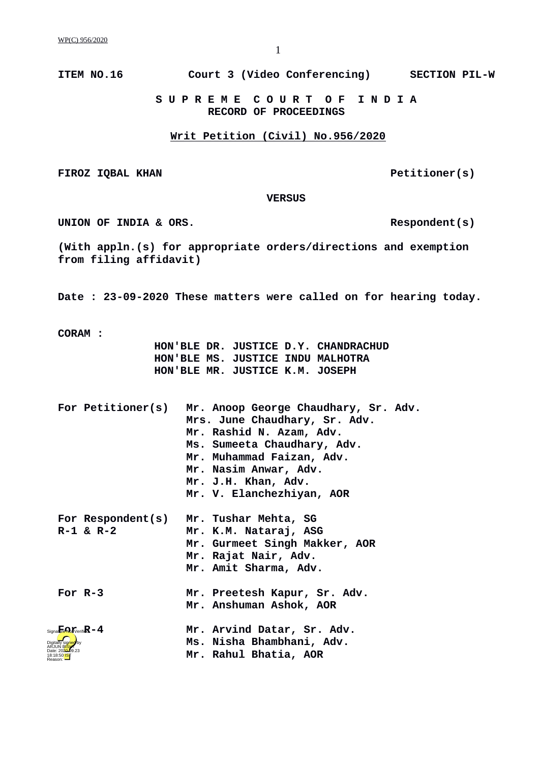**ITEM NO.16 Court 3 (Video Conferencing) SECTION PIL-W**

 **S U P R E M E C O U R T O F I N D I A RECORD OF PROCEEDINGS**

## **Writ Petition (Civil) No.956/2020**

FIROZ IQBAL KHAN **PETITIONER** PETITIONER(S)

 **VERSUS**

UNION OF INDIA & ORS.

**(With appln.(s) for appropriate orders/directions and exemption from filing affidavit)**

**Date : 23-09-2020 These matters were called on for hearing today.**

**CORAM :** 

 **HON'BLE DR. JUSTICE D.Y. CHANDRACHUD HON'BLE MS. JUSTICE INDU MALHOTRA HON'BLE MR. JUSTICE K.M. JOSEPH**

| For Petitioner(s)                               | Mr. Anoop George Chaudhary, Sr. Adv.<br>Mrs. June Chaudhary, Sr. Adv.<br>Mr. Rashid N. Azam, Adv.<br>Ms. Sumeeta Chaudhary, Adv.<br>Mr. Muhammad Faizan, Adv.<br>Mr. Nasim Anwar, Adv.<br>Mr. J.H. Khan, Adv.<br>Mr. V. Elanchezhiyan, AOR |
|-------------------------------------------------|--------------------------------------------------------------------------------------------------------------------------------------------------------------------------------------------------------------------------------------------|
| For Respondent(s)<br>$R - 1 & 8 & R - 2$        | Mr. Tushar Mehta, SG<br>Mr. K.M. Nataraj, ASG<br>Mr. Gurmeet Singh Makker, AOR<br>Mr. Rajat Nair, Adv.<br>Mr. Amit Sharma, Adv.                                                                                                            |
| For $R - 3$                                     | Mr. Preetesh Kapur, Sr. Adv.<br>Mr. Anshuman Ashok, AOR                                                                                                                                                                                    |
| $Signa$ <b>Fend</b> $pi$ erifi $\mathbb{R}$ - 4 | Mr. Arvind Datar, Sr. Adv.<br>Ms. Nisha Bhambhani, Adv.<br>Mr. Rahul Bhatia, AOR                                                                                                                                                           |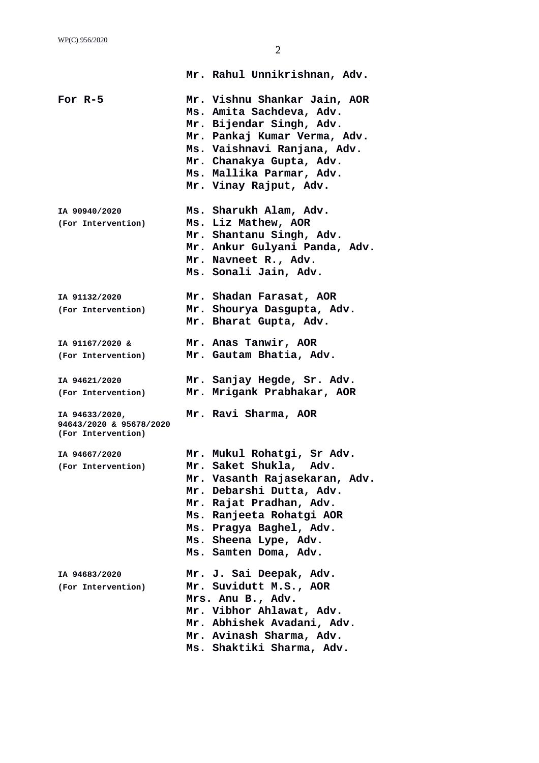|                                                                 | Mr. Rahul Unnikrishnan, Adv.                                                                                                                                                                                                                          |
|-----------------------------------------------------------------|-------------------------------------------------------------------------------------------------------------------------------------------------------------------------------------------------------------------------------------------------------|
| For $R-5$                                                       | Mr. Vishnu Shankar Jain, AOR<br>Ms. Amita Sachdeva, Adv.<br>Mr. Bijendar Singh, Adv.<br>Mr. Pankaj Kumar Verma, Adv.<br>Ms. Vaishnavi Ranjana, Adv.<br>Mr. Chanakya Gupta, Adv.<br>Ms. Mallika Parmar, Adv.<br>Mr. Vinay Rajput, Adv.                 |
| IA 90940/2020<br>(For Intervention)                             | Ms. Sharukh Alam, Adv.<br>Ms. Liz Mathew, AOR<br>Mr. Shantanu Singh, Adv.<br>Mr. Ankur Gulyani Panda, Adv.<br>Mr. Navneet R., Adv.<br>Ms. Sonali Jain, Adv.                                                                                           |
| IA 91132/2020<br>(For Intervention)                             | Mr. Shadan Farasat, AOR<br>Mr. Shourya Dasgupta, Adv.<br>Mr. Bharat Gupta, Adv.                                                                                                                                                                       |
| IA 91167/2020 &<br>(For Intervention)                           | Mr. Anas Tanwir, AOR<br>Mr. Gautam Bhatia, Adv.                                                                                                                                                                                                       |
| IA 94621/2020<br>(For Intervention)                             | Mr. Sanjay Hegde, Sr. Adv.<br>Mr. Mrigank Prabhakar, AOR                                                                                                                                                                                              |
| IA 94633/2020,<br>94643/2020 & 95678/2020<br>(For Intervention) | Mr. Ravi Sharma, AOR                                                                                                                                                                                                                                  |
| IA 94667/2020<br>(For Intervention)                             | Mr. Mukul Rohatgi, Sr Adv.<br>Mr. Saket Shukla, Adv.<br>Mr. Vasanth Rajasekaran, Adv.<br>Mr. Debarshi Dutta, Adv.<br>Mr. Rajat Pradhan, Adv.<br>Ms. Ranjeeta Rohatgi AOR<br>Ms. Pragya Baghel, Adv.<br>Ms. Sheena Lype, Adv.<br>Ms. Samten Doma, Adv. |
| IA 94683/2020<br>(For Intervention)                             | Mr. J. Sai Deepak, Adv.<br>Mr. Suvidutt M.S., AOR<br>Mrs. Anu B., Adv.<br>Mr. Vibhor Ahlawat, Adv.<br>Mr. Abhishek Avadani, Adv.<br>Mr. Avinash Sharma, Adv.<br>Ms. Shaktiki Sharma, Adv.                                                             |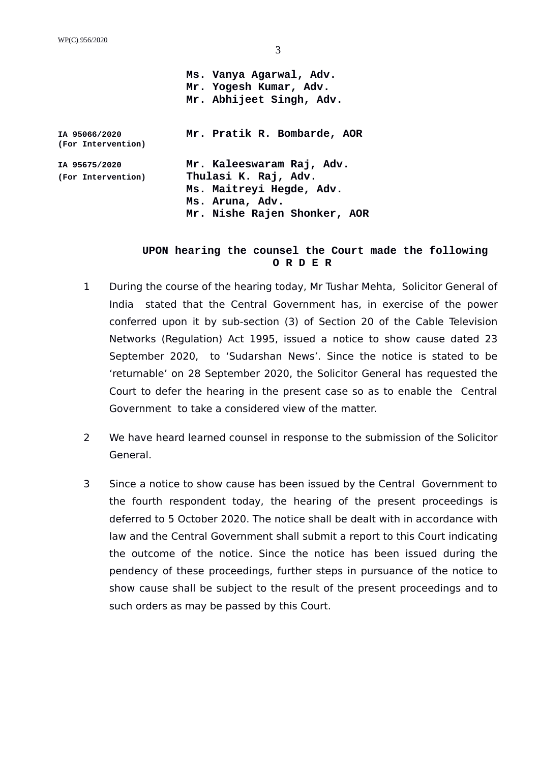WP(C) 956/2020

|                                     | Ms. Vanya Agarwal, Adv.<br>Mr. Yogesh Kumar, Adv.<br>Mr. Abhijeet Singh, Adv.                                                    |
|-------------------------------------|----------------------------------------------------------------------------------------------------------------------------------|
| IA 95066/2020<br>(For Intervention) | Mr. Pratik R. Bombarde, AOR                                                                                                      |
| IA 95675/2020<br>(For Intervention) | Mr. Kaleeswaram Raj, Adv.<br>Thulasi K. Raj, Adv.<br>Ms. Maitreyi Hegde, Adv.<br>Ms. Aruna, Adv.<br>Mr. Nishe Rajen Shonker, AOR |

## **UPON hearing the counsel the Court made the following O R D E R**

- 1 During the course of the hearing today, Mr Tushar Mehta, Solicitor General of India stated that the Central Government has, in exercise of the power conferred upon it by sub-section (3) of Section 20 of the Cable Television Networks (Regulation) Act 1995, issued a notice to show cause dated 23 September 2020, to 'Sudarshan News'. Since the notice is stated to be 'returnable' on 28 September 2020, the Solicitor General has requested the Court to defer the hearing in the present case so as to enable the Central Government to take a considered view of the matter.
- 2 We have heard learned counsel in response to the submission of the Solicitor General.
- 3 Since a notice to show cause has been issued by the Central Government to the fourth respondent today, the hearing of the present proceedings is deferred to 5 October 2020. The notice shall be dealt with in accordance with law and the Central Government shall submit a report to this Court indicating the outcome of the notice. Since the notice has been issued during the pendency of these proceedings, further steps in pursuance of the notice to show cause shall be subject to the result of the present proceedings and to such orders as may be passed by this Court.